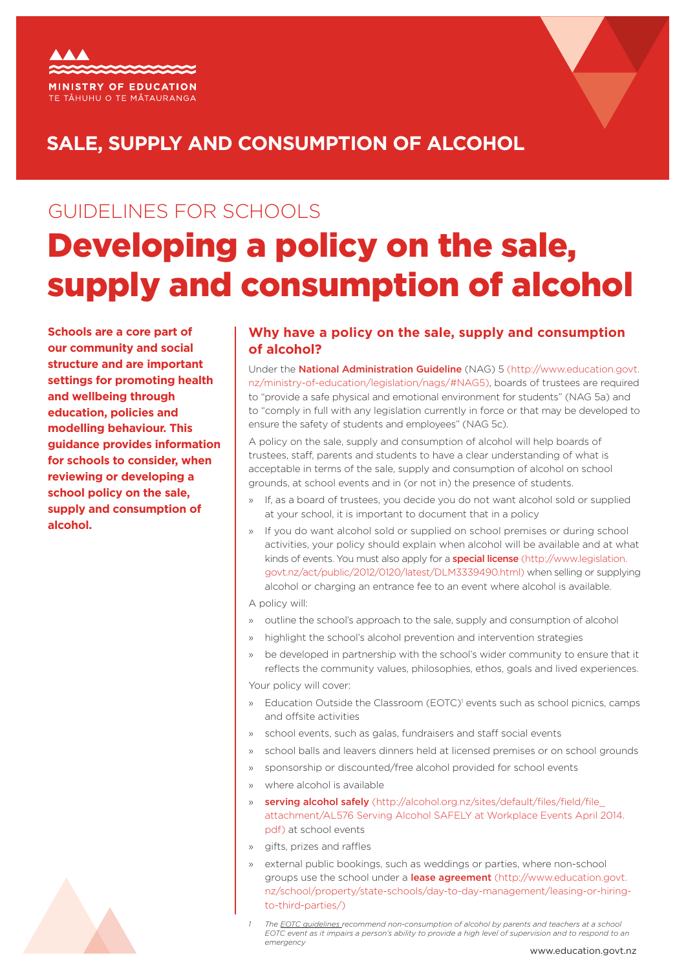



## **SALE, SUPPLY AND CONSUMPTION OF ALCOHOL**

# GUIDELINES FOR SCHOOLS Developing a policy on the sale, supply and consumption of alcohol

**Schools are a core part of our community and social structure and are important settings for promoting health and wellbeing through education, policies and modelling behaviour. This guidance provides information for schools to consider, when reviewing or developing a school policy on the sale, supply and consumption of alcohol.**

### **Why have a policy on the sale, supply and consumption of alcohol?**

Under the [National Administration Guideline](http://www.education.govt.nz/ministry-of-education/legislation/nags/#NAG5) (NAG) 5 (http://www.education.govt. nz/ministry-of-education/legislation/nags/#NAG5), boards of trustees are required to "provide a safe physical and emotional environment for students" (NAG 5a) and to "comply in full with any legislation currently in force or that may be developed to ensure the safety of students and employees" (NAG 5c).

A policy on the sale, supply and consumption of alcohol will help boards of trustees, staff, parents and students to have a clear understanding of what is acceptable in terms of the sale, supply and consumption of alcohol on school grounds, at school events and in (or not in) the presence of students.

- » If, as a board of trustees, you decide you do not want alcohol sold or supplied at your school, it is important to document that in a policy
- » If you do want alcohol sold or supplied on school premises or during school activities, your policy should explain when alcohol will be available and at what kinds of events. You must also apply for a **[special license](http://www.legislation.govt.nz/act/public/2012/0120/latest/DLM3339490.html)** (http://www.legislation. govt.nz/act/public/2012/0120/latest/DLM3339490.html) when selling or supplying alcohol or charging an entrance fee to an event where alcohol is available.

A policy will:

- » outline the school's approach to the sale, supply and consumption of alcohol
- » highlight the school's alcohol prevention and intervention strategies
- » be developed in partnership with the school's wider community to ensure that it reflects the community values, philosophies, ethos, goals and lived experiences.

Your policy will cover:

- » Education Outside the Classroom (EOTC)<sup>1</sup> events such as school picnics, camps and offsite activities
- school events, such as galas, fundraisers and staff social events
- » school balls and leavers dinners held at licensed premises or on school grounds
- » sponsorship or discounted/free alcohol provided for school events
- » where alcohol is available
- » **[serving alcohol safely](http://alcohol.org.nz/sites/default/files/field/file_attachment/AL576 Serving Alcohol SAFELY at Workplace Events April 2014.pdf)** (http://alcohol.org.nz/sites/default/files/field/file attachment/AL576 Serving Alcohol SAFELY at Workplace Events April 2014. pdf) at school events
- » gifts, prizes and raffles
- » external public bookings, such as weddings or parties, where non-school groups use the school under a [lease agreement](http://www.education.govt.nz/school/property/state-schools/day-to-day-management/leasing-or-hiring-to-third-parties/) (http://www.education.govt. nz/school/property/state-schools/day-to-day-management/leasing-or-hiringto-third-parties/)
- *1 The [EOTC guidelines r](http://eotc.tki.org.nz/EOTC-home/EOTC-Guidelines)ecommend non-consumption of alcohol by parents and teachers at a school EOTC event as it impairs a person's ability to provide a high level of supervision and to respond to an emergency*

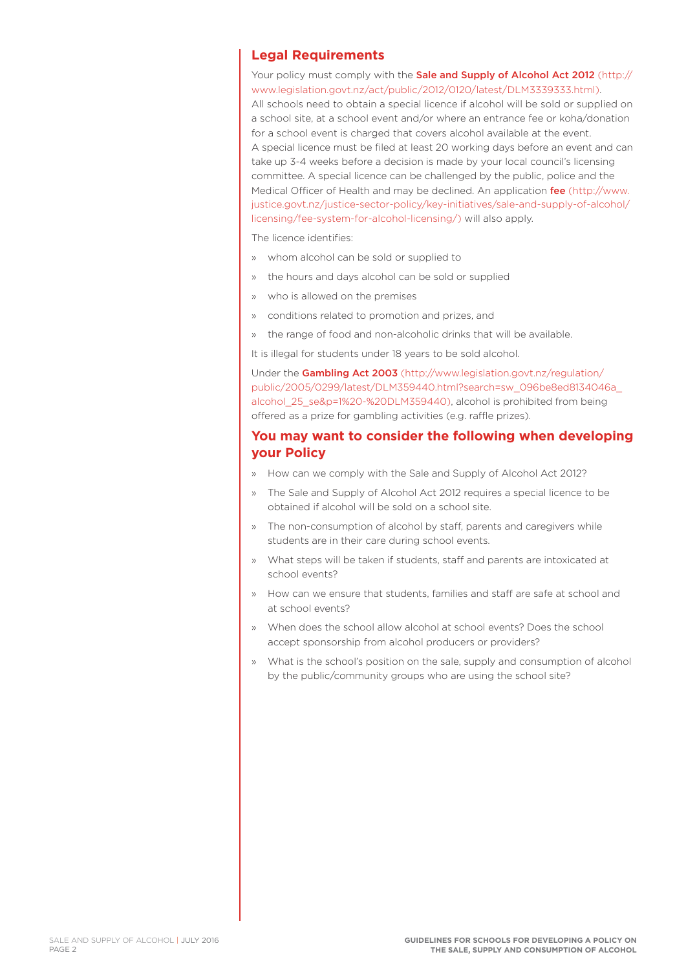#### **Legal Requirements**

Your policy must comply with the **[Sale and Supply of Alcohol Act 2012](http://www.legislation.govt.nz/act/public/2012/0120/latest/DLM3339333.html)** (http:// www.legislation.govt.nz/act/public/2012/0120/latest/DLM3339333.html).

All schools need to obtain a special licence if alcohol will be sold or supplied on a school site, at a school event and/or where an entrance fee or koha/donation for a school event is charged that covers alcohol available at the event. A special licence must be filed at least 20 working days before an event and can take up 3-4 weeks before a decision is made by your local council's licensing committee. A special licence can be challenged by the public, police and the Medical Officer of Health and may be declined. An application [fee](http://www.justice.govt.nz/justice-sector-policy/key-initiatives/sale-and-supply-of-alcohol/licensing/fee-system-for-alcohol-licensing/) (http://www. justice.govt.nz/justice-sector-policy/key-initiatives/sale-and-supply-of-alcohol/ licensing/fee-system-for-alcohol-licensing/) will also apply.

The licence identifies:

- » whom alcohol can be sold or supplied to
- » the hours and days alcohol can be sold or supplied
- » who is allowed on the premises
- » conditions related to promotion and prizes, and
- » the range of food and non-alcoholic drinks that will be available.

It is illegal for students under 18 years to be sold alcohol.

Under the [Gambling Act 2003](http://www.legislation.govt.nz/regulation/public/2005/0299/latest/DLM359440.html?search=sw_096be8ed8134046a_alcohol_25_se&p=1%20-%20DLM359440) (http://www.legislation.govt.nz/regulation/ public/2005/0299/latest/DLM359440.html?search=sw\_096be8ed8134046a\_ alcohol\_25\_se&p=1%20-%20DLM359440), alcohol is prohibited from being offered as a prize for gambling activities (e.g. raffle prizes).

#### **You may want to consider the following when developing your Policy**

- » How can we comply with the Sale and Supply of Alcohol Act 2012?
- » The Sale and Supply of Alcohol Act 2012 requires a special licence to be obtained if alcohol will be sold on a school site.
- » The non-consumption of alcohol by staff, parents and caregivers while students are in their care during school events.
- » What steps will be taken if students, staff and parents are intoxicated at school events?
- » How can we ensure that students, families and staff are safe at school and at school events?
- » When does the school allow alcohol at school events? Does the school accept sponsorship from alcohol producers or providers?
- » What is the school's position on the sale, supply and consumption of alcohol by the public/community groups who are using the school site?